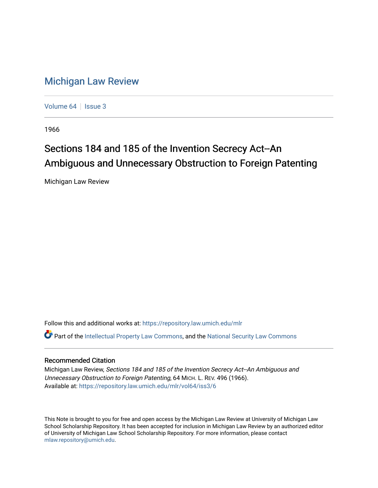## [Michigan Law Review](https://repository.law.umich.edu/mlr)

[Volume 64](https://repository.law.umich.edu/mlr/vol64) | [Issue 3](https://repository.law.umich.edu/mlr/vol64/iss3)

1966

# Sections 184 and 185 of the Invention Secrecy Act--An Ambiguous and Unnecessary Obstruction to Foreign Patenting

Michigan Law Review

Follow this and additional works at: [https://repository.law.umich.edu/mlr](https://repository.law.umich.edu/mlr?utm_source=repository.law.umich.edu%2Fmlr%2Fvol64%2Fiss3%2F6&utm_medium=PDF&utm_campaign=PDFCoverPages) 

 $\bullet$  Part of the [Intellectual Property Law Commons,](http://network.bepress.com/hgg/discipline/896?utm_source=repository.law.umich.edu%2Fmlr%2Fvol64%2Fiss3%2F6&utm_medium=PDF&utm_campaign=PDFCoverPages) and the National Security Law Commons

### Recommended Citation

Michigan Law Review, Sections 184 and 185 of the Invention Secrecy Act--An Ambiguous and Unnecessary Obstruction to Foreign Patenting, 64 MICH. L. REV. 496 (1966). Available at: [https://repository.law.umich.edu/mlr/vol64/iss3/6](https://repository.law.umich.edu/mlr/vol64/iss3/6?utm_source=repository.law.umich.edu%2Fmlr%2Fvol64%2Fiss3%2F6&utm_medium=PDF&utm_campaign=PDFCoverPages)

This Note is brought to you for free and open access by the Michigan Law Review at University of Michigan Law School Scholarship Repository. It has been accepted for inclusion in Michigan Law Review by an authorized editor of University of Michigan Law School Scholarship Repository. For more information, please contact [mlaw.repository@umich.edu.](mailto:mlaw.repository@umich.edu)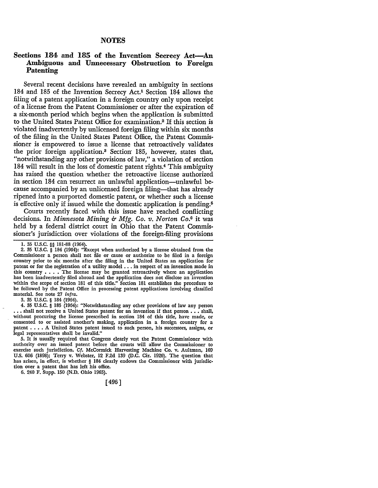#### **NOTES**

### **Sections 184 and 185 of the Invention Secrecy Act-An Ambiguous and Unnecessary Obstruction to Foreign Patenting**

Several recent decisions have revealed an ambiguity in sections 184 and 185 of the Invention Secrecy Act.1 Section 184 allows the filing of a patent application in a foreign country only upon receipt of a license from the Patent Commissioner or after the expiration of a six-month period which begins when the application is submitted to the United States Patent Office for examination.2 If this section is violated inadvertently by unlicensed foreign filing within six months of the filing in the United States Patent Office, the Patent Commissioner *is* empowered to issue a license that retroactively validates the prior foreign application.<sup>3</sup> Section 185, however, states that, "notwithstanding any other provisions of law," a violation of section 184 will result in the loss of domestic patent rights.4 This ambiguity has raised the question whether the retroactive license authorized in section 184 can resurrect an unlawful application-unlawful because accompanied by an unlicensed foreign filing-that has already ripened into a purported domestic patent, or whether such a license is effective only if issued while the domestic application is pending. $\mathfrak{g}$ 

Courts recently faced with this issue have reached conflicting decisions. In *Minnesota Mining & Mfg. Co. v. Norton Co.*<sup>6</sup> it was held by a federal district court in Ohio that the Patent Commissioner's jurisdiction over violations of the foreign-filing provisions

3. 35 u.s.c. § 184 (1964).

4. 35 U.S.C. § 185 (1964): "Notwithstanding any other provisions of law any person ••• shall not receive a United States patent for an invention if that person ••• shall, without procuring the license prescribed in section 184 of this title, have made, or consented to or assisted another's making, application in a foreign country for a patent . . . . A United States patent issued to such person, his successors, assigns, or legal representatives shall be invalid."

5. It is usually required that Congress clearly vest the Patent Commissioner with authority over an issued patent before the courts will allow the Commissioner to exercise such jurisdiction. Cf. McCormick Harvesting Machine Co. v. Aultman, 169 U.S. 606 (1898); Terry v. Webster, 12 F.2d 139 (D.C. Cir. 1926). The question that has arisen, in effect, is whether § 184 clearly endows the Commissioner with jurisdiction over a patent that has left his office.

6. 240 F. Supp. 150 (N.D. Ohio 1965).

[496]

<sup>1.</sup> 35 u.s.c. §§ 181-88 (1964).

<sup>2. 35</sup> U.S.C. § 184 (1964): "Except when authorized by a license obtained from the Commissioner a person shall not file or cause or authorize to be filed in a foreign country prior to six months after the filing in the United States an application for patent or for the registration of a utility model . . . in respect of an invention made in this country  $\ldots$ . The license may be granted retroactively where an application has been inadvertently filed abroad and the application docs not disclose an invention within the scope of section 181 of this title." Section 181 establishes the procedure to be followed by the Patent Office in processing patent applications involving classified material. See note 27 infra.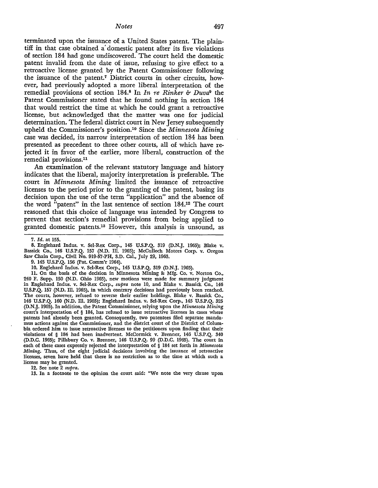terminated upon the issuance of a United States patent. The plaintiff in that case obtained a' domestic patent after its five violations of section 184 had gone undiscovered. The court held the domestic patent invalid from the date of issue, refusing to give effect to a retroactive license granted by the Patent Commissioner following the issuance of the patent.7 District courts in other circuits, however, had previously adopted a more liberal interpretation of the remedial provisions of section 184.8 In *In re Rinker & Duva9* the Patent Commissioner stated that he found nothing in section 184 that would restrict the time at which he could grant a retroactive license, but acknowledged that the matter was one for judicial determination. The federal district court in New Jersey subsequently upheld the Commissioner's position.10 Since the *Minnesota Mining*  case was decided, its narrow interpretation of section 184 has been presented as precedent to three other courts, all of which have rejected it in favor of the earlier, more liberal, construction of the remedial provisions.11

An examination of the relevant statutory language and history indicates that the liberal, majority interpretation is preferable. The court in *Minnesota Mining* limited the issuance of retroactive licenses to the period prior to the granting of the patent, basing its decision upon the use of the term "application" and the absence of the word "patent" in the last sentence of section 184.12 The court reasoned that this choice of language was intended by Congress to prevent that section's remedial provisions from being applied to granted domestic patents.13 However, this analysis is unsound, as

7. *Id.* at 155.

8. Englehard Indus. v. Sel-Rex Corp., 145 U.S.P.Q. 319 (D.N.J. 1965); Blake v. Bassick Co., 146 U.S.P.Q. 157 (N.D. Ill. 1965); McCulloch Motors Corp. v. Oregon Saw Chain Corp., Civil No. 919-57-PH, S.D. Cal., July 29, 1963.

9. 145 U.S.P.Q. 156 (Pat. Comm'r 1964).

11. On the basis of the decision in Minnesota Mining & Mfg. Co. v. Norton Co., 240 F. Supp. 150 (N.D. Ohio 1965), new motions were made for summary judgment in Englehard Indus. v. Sel-Rex Corp., *supra* note 10, and Blake v. Bassick Co., 146 U.S.P.Q. 157 (N.D. Ill. 1965), in which contrary decisions had previously been reached. The courts, however, refused to reverse their earlier holdings. Blake v. Bassick Co., 146 U.S.P.Q. 160 (N.D. Ill. 1965); Englehard Indus. v. Sel-Rex Corp., 145 U.S.P.Q. 325 (D.N.J. 1965). In addition, the Patent Commissioner, relying upon the *Minnesota Mining*  court's interpretation of § 184, has refused to issue retroactive licenses in cases where patents had already been granted. Consequently, two patentees filed separate mandamus actions against the Commissioner, and the district court of the District of Columbia ordered him to issue retroactive licenses to the petitioners upon finding that their violations of § 184 had been inadvertent. McCormick v. Brenner, 146 U.S.P.Q. 340 (D.D.C. 1965); Pillsbury Co. v. Brenner, 146 U.S.P.Q. 99 (D.D.C. 1965). The court in each of these cases expressly rejected the interpretation of § 184 set forth in *Minnesota Mining.* Thus, of the eight judicial decisions involving the issuance of retroactive licenses, seven have held that there is no restriction as to the time at which such a license may be granted.

12. See note 2 *supra.* 

13. In a footnote to the opinion the court said: "We note the very clause upon

<sup>10.</sup> Englehard Indus. v. Sel-Rex Corp., 145 U.S.P.Q. 319 (D.N.J. 1965).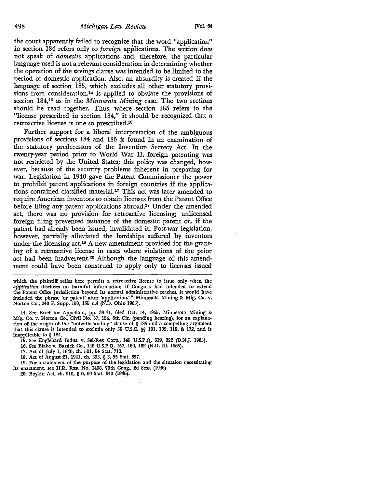the court apparently failed to recognize that the word "application" in section 184 refers only to *foreign* applications. The section does not speak of *domestic* applications and, therefore, the particular language used is not a relevant consideration in determining whether the operation of the savings clause was intended to be limited to the period of domestic application. Also, an absurdity is created if the language of section 185, which excludes all other statutory provisions from consideration, $14$  is applied to obviate the provisions of section 184,15 as in the *Minnesota Mining* case. The two sections should be read together. Thus, where section 185 refers to the "license prescribed in section 184," it should be recognized that a retroactive license is one so prescribed.16

Further support for a liberal interpretation of the ambiguous provisions of sections 184 and 185 is found in an examination of the statutory predecessors of the Invention Secrecy Act. In the twenty-year period prior to World War II, foreign patenting was not restricted by the United States; this policy was changed, however, because of the security problems inherent in preparing for war. Legislation in 1940 gave the Patent Commissioner the power to prohibit patent applications in foreign countries if the applications contained classified material.17 This act was later amended to require American inventors to obtain licenses from the Patent Office before filing any patent applications abroad.18 Under the amended act, there was no provision for retroactive licensing; unlicensed foreign filing prevented issuance of the domestic patent or, if the patent had already been issued, invalidated it. Post-war legislation, however, partially alleviated the hardships suffered by inventors under the licensing act.<sup>19</sup> A new amendment provided for the granting of a retroactive license in cases where violations of the prior act had been inadvertent.20 Although the language of this amendment could have been construed to apply only to licenses issued

which the plaintiff relies here permits a retroactive license to issue only when the *application* discloses no harmful information; if Congress had intended to extend the Patent Office jurisdiction beyond its normal administrative reaches, it would have included the phrase 'or patent' after 'application.'" Minnesota Mining 8: Mfg. Co, v. Norton Co., 240 F. Supp. 150, 155 n.4 (N.D. Ohio 1965).

14. See Brief for Appellant, pp. 39-41, filed Oct. 14, 1965, Minnesota Mining 8: Mfg. Co. v. Norton Co., Civil No. 37, 154, 6th Cir. (pending hearing), for an explana• tion of the origin of the "notwithstanding'' clause of § 185 and a compelling argument that this clause is intended to exclude only 35 U.S.C. §§ 101, 102, 119, 8: 172, and is inapplicable to § 184.

- 15. See Englehard Indus. v. Sel-Rex Corp., 145 U.S.P.Q. 319, 322 (D.N.J. 1965).
- 16. See Blake v. Bassick Co., 146 U.S.P.Q. 157, 160, 162 (N.D. Ill. 1965).
- 17. Act of July 1, 1940, ch. 501, 54 Stat. 710.
- 18. Act of August 21, 1941, ch. 393, § 3, 55 Stat. 657.

19. For a statement of the purpose of the legislation and the situation necessitating its enactment, see H.R. REP. No. 1498, 79th Cong., 2d Sess. (1946).

20. Boykin Act, ch. 910, § 6, 60 Stat. 940 (1946).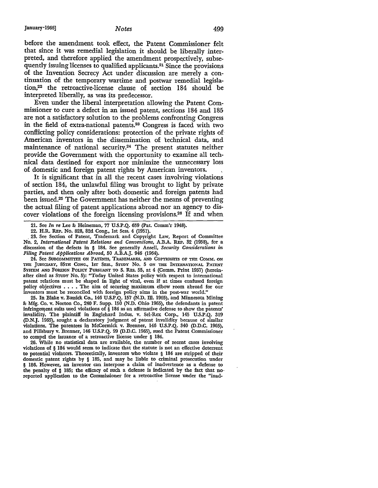before the amendment took effect, the Patent Commissioner felt that since it was remedial legislation it should be liberally interpreted, and therefore applied the amendment prospectively, subsequently issuing licenses to qualified applicants.21 Since the provisions of the Invention Secrecy Act under discussion are merely a continuation of the temporary wartime and postwar remedial legislation,22 the retroactive-license clause of section 184 should be interpreted liberally, as was its predecessor.

Even under the liberal interpretation allowing the Patent Commissioner to cure a defect in an issued patent, sections 184 and 185 are not a satisfactory solution to the problems confronting Congress in the field of extra-national patents.23 Congress is faced with two conflicting policy considerations: protection of the private rights of American inventors in the dissemination of technical data, and maintenance of national security.24 The present statutes neither provide the Government with the opportunity to examine all technical data destined for export nor minimize the unnecessary loss of domestic and foreign patent rights by American inventors.

It is significant that in all the recent cases involving violations of section 184, the unlawful filing was brought to light by private parties, and then only after both domestic and foreign patents had been issued.25 The Government has neither the means of preventing the actual filing of patent applications abroad nor an agency to discover violations of the foreign licensing provisions.26 If and when

. 23. See Section of Patent, Trademark and Copyright Law, Report of Committee No. 2, *International Patent Relations and Conventions,* A.B.A. REP. 32 (1958), for a discussion of the defects in § 184. See generally Ansell, *Security Considerations in Filing Patent Applications Abroad,* 50 A.B.A.J. 946 (1964).

24. See SUBCOMMITTEE ON PATENTS, TRADEMARKS, AND COPYRIGHTS OF THE COMM. ON THE JUDICIARY, 85TH CONG., lsr SESS., STUDY No. 5 ON THE INTERNATIONAL PATENT SYSTEM AND FOREIGN POLICY PURSUANT TO S. RES. 55, at 4 (Comm. Print 1957) (hereinafter cited as STUDY No. 5): "Today United States policy with respect to international patent relations must be shaped in light of vital, even if at times confused foreign policy objectives • • • • The aim of securing maximum elbow room abroad for our inventors must be reconciled with foreign policy aims in the post-war world."

25. In Blake v. Bassick Co., 146 U.S.P.Q. 157 (N.D. ill. 1965), and Minnesota Mining &: Mfg. Co. v. Norton Co., 240 F. Supp. 150 (N.D. Ohio 1965), the defendants in patent infringement suits used violations of  $\S$  184 as an affirmative defense to show the patents' invalidity. The plaintiff in Englehard Indus. v. Sel-Rex Corp., 145 U.S.P.Q. 319 (D.N.J. 1965), sought a declaratory judgment of patent invalidity because of similar violations. The patentees in McCormick v. Brenner, 146 U.S.P.Q. 340 (D.D.C. 1965), and Pillsbury v. Brenner, 146 U.S.P.Q. 99 (D.D.C. 1965), sued the Patent Commissioner to compel the issuance of a retroactive license under § 184.

26. While no statistical data are available, the number of recent cases involving violations of § 184 would seem to indicate that the statute is not an effective deterrent to potential violators. Theoretically, inventors who violate § 184 are stripped of their domestic patent rights by § 185, and may be liable to criminal prosecution under § 186. However, an inventor can interpose a claim of inadvertence as a defense to the penalty of § 185; the efficacy of such a defense is indicated by the fact that no• reported application to the Commissioner for a retroactive license under the "inad•

<sup>21.</sup> See *In re* Lee&: Heineman, 77 U.S.P.Q. 659 (Pat. Comm'r 1948).

<sup>22.</sup> H.R. REP. No. 828, 82d Cong., 1st Sess. 4 (1951) .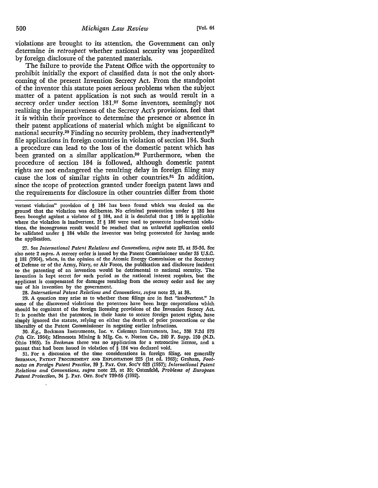violations are brought to its attention, the Government can only determine *in retrospect* whether national security was jeopardized by foreign disdosure of the patented materials.

The failure to provide the Patent Office with the opportunity to prohibit initially the export of classified data is not the only shortcoming of the present Invention Secrecy Act. From the standpoint of the inventor this statute poses serious problems when the subject matter of a patent application is not such as would result in a secrecy order under section 181.<sup>27</sup> Some inventors, seemingly not realizing the imperativeness of the Secrecy Act's provisions, feel that it is within their province to determine the presence or absence in their patent applications of material which might be significant to national security.<sup>28</sup> Finding no security problem, they inadvertently<sup>29</sup> file applications in foreign countries in violation of section 184. Such a procedure can lead to the loss of the domestic patent which has been granted on a similar application.<sup>30</sup> Furthermore, when the procedure of section 184 is followed, although domestic patent rights are not endangered the resulting delay in foreign filing may cause the loss of similar rights in other countries.<sup>31</sup> In addition, since the scope of protection granted under foreign patent laws and the requirements for disclosure in other countries differ from those

vertent violation" provision of § 184 has been found which was denied on the ground that the violation was deliberate. No criminal prosecution under § 186 has been brought against a violator of § 184, and it is doubtful that § 186 is applicable where the violation is inadvertent. If § 186 were used to prosecute inadvertent violations, the incongruous result would be reached that an unlawful application could be validated under § 184 while the inventor was being prosecuted for having made the application.

27. See *International Patent Relations and Conventions, supra* note 23, at 35-36, Sec also note 2 *supra.* A secrecy order is issued by the Patent Commissioner under 35 U.S.C. § 181 (1964), when, in the opinion of the Atomic Energy Commission or the Secretary of Defense or of the Army, Navy, or Air Force, the publication and disclosure incident to the patenting of an invention would be detrimental to national security. The invention is kept secret for such period as the national interest requires, but the applicant is compensated for damages resulting from the secrecy order and for any use of his invention by the government.

28. *International Patent Relations and Conventions, supra* note 23, at 38.

29. A question may arise as to whether these filings are in fact "inadvertent," In some of the discovered violations the patentees have been large corporations which should be cognizant of the foreign licensing provisions of the Invention Secrecy Act. It is possible that the patentees, in their haste to secure foreign patent rights, have simply ignored the statute, relying on either the dearth of prior prosecutions or the liberality of the Patent Commissioner in negating earlier infractions.

30. *E.g.,* Beckman Instruments, Inc. v. Colema\_n Instruments, Inc., 338 F.2d 573 (7th Cir. 1964); Minnesota Mining & Mfg. Co. v. Norton Co., 240 F. Supp. 150 (N,D. Ohio 1965). In *Beckman* there was no application for a retroactive license, and a patent that had been issued in violation of § 184 was declared void.

31. For a discussion of the time considerations in foreign filing, see generally SHERMAN, PATENT PROCUREMENT AND EXPLOITATION 225 (1st ed. 1963); Graham, Foot*notes on Foreign Patent Practice,* 39 J. PAT. OFF. Soc'y 623 (1957); *International Patent Relations and Conventions, supra* note 23, at 35; Ostenfeld, *Problems of European Patent Protection,* 34 J. PAT. OFF. Soc'Y 739-55 (1952).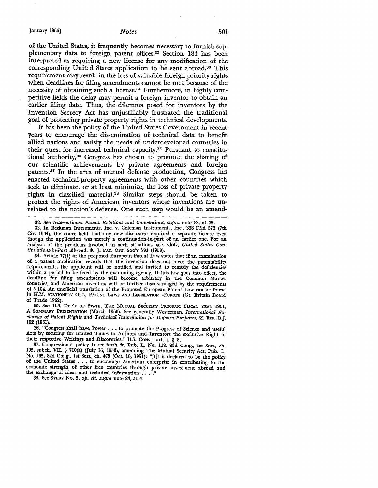of the United States, it frequently becomes necessary to furnish supplementary data to foreign patent offices.<sup>32</sup> Section 184 has been interpreted as requiring a new license for any modification of the corresponding United States application to be sent abroad.33 This requirement may result in the loss of valuable foreign priority rights when deadlines for filing amendments cannot be met because of the necessity of obtaining such a license.34 Furthermore, in highly competitive fields the delay may permit a foreign inventor to obtain an earlier filing date. Thus, the dilemma posed for inventors by the Invention Secrecy Act has unjustifiably frustrated the traditional goal of protecting private property rights in technical developments.

It has been the policy of the United States Government in recent years to encourage the dissemination of technical data to benefit allied nations and satisfy the needs of underdeveloped countries in their quest for increased technical capacity.<sup>35</sup> Pursuant to constitutional authority,36 Congress has chosen to promote the sharing of our scientific achievements by private agreements and foreign patents.37 In the area of mutual defense production, Congress has enacted technical-property agreements with other countries which seek to eliminate, or at least minimize, the loss of private property rights in classified material.38 Similar steps should be taken to protect the rights of American inventors whose inventions are unrelated to the nation's defense. One such step would be an amend-

33. In Beckman Instruments, Inc. v. Coleman Instruments, Inc., 338 F.2d 573 {7th Cir. 1964), the court held that any new disclosure required a separate license even though the application was merely a continuation-in-part of an earlier one. For an analysis of the problems involved in such situations, see Klotz, *United States Continuations-in-Part Abroad,* 40 J. PAT. OFF. Soc'y 791 (1958).

34. Article 77(1) of the proposed European Patent Law states that if an examination of a patent application reveals that the invention does not meet the patentability requirements, the applicant will be notified and invited to remedy the deficiencies within a period to be fixed by the examining agency. If this law goes into effect, the deadline for filing amendments will become arbitrary in the Common Market countries, and American inventors will be further disadvantaged by the requirements of § 184. An unofficial translation of the Proposed European Patent Law can be found in **H.M.** STATIONERY OFF., PATENT LAws AND LEGISLATION-EUROPE (Gt. Britain Board of Trade 1962).

35. See U.S. DEP'T OF STATE, THE MUTUAL SECURITY PROGRAM FISCAL YEAR 1961, **A** SUMMARY PRESENTATION (March 1960). See generally Westerman, *International Exchange of Patent Rights and Technical Information for Defense Purposes,* 21 FED. B.J. 152 (1961).

36. "Congress shall have Power .•• to promote the Progress of Science and useful Arts by securing for limited Times to Authors and Inventors the exclusive Right to their respective Writings and Discoveries.'' U.S. CONST. art. I, § 8.

37. Congressional policy is set forth in Pub. L. No. 118, 83d Cong., 1st Sess., ch. 195, subch. VII, § 710(a) (July 16, 1953), amending The Mutual Security Act, Pub. L. No. 165, 82d Cong., 1st Sess., ch. 479 (Oct. 10, 1951): "[I]t is declared to be the policy of the United States •.• to encourage American enterprise in contributing to the economic strength of other free countries through private investment abroad and the exchange of ideas and technical information . . . .''

38. See STUDY No. 5, *op. dt. supra* note 24, at 4.

<sup>32.</sup> See *International Patent Relations and Conventions, supra* note 23, at 35.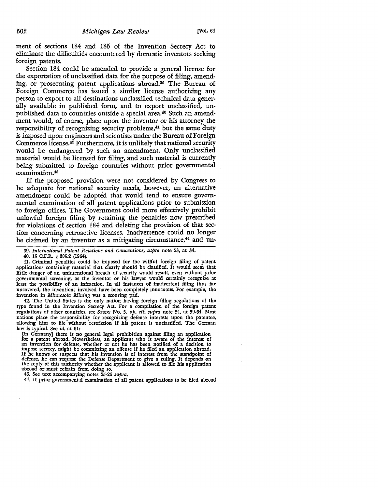ment of sections 184 and 185 of the Invention Secrecy Act to eliminate the difficulties encountered by domestic inventors seeking foreign patents.

Section 184 could be amended to provide a general license for the exportation of unclassified data for the purpose of filing, amending, or prosecuting patent applications abroad.<sup>30</sup> The Bureau of Foreign Commerce has issued a similar license authorizing any person to export to all destinations unclassified technical data generally available in published form, and to export unclassified, unpublished data to countries outside a special area.40 Such an amendment would, of course, place upon the inventor or his attorney the responsibility of recognizing security problems,<sup>41</sup> but the same duty is imposed upon engineers and scientists under the Bureau of Foreign Commerce license.42 Furthermore, it is unlikely that national security would be endangered by such an amendment. Only unclassified material would be licensed for filing, and such material is currently being submitted to foreign countries without prior governmental examination.43

If the proposed provision were not considered by Congress to be adequate for national security needs, however, an alternative amendment could be adopted that would tend to ensure governmental examination of all patent applications prior to submission to foreign offices. The Government could more effectively prohibit unlawful foreign filing by retaining the penalties now prescribed for violations of section 184 and deleting the provision of that section concerning retroactive licenses. Inadvertence could no longer be claimed by an inventor as a mitigating circumstance,<sup>44</sup> and un-

41. Criminal penalties could be imposed for the willful foreign filing of patent applications containing material that clearly should be classified. It would seem that little danger of an unintentional breach of security would result, even without prior governmental screening, as the inventor or his lawyer would certainly recognize at least the possibility of an infraction. In all instances of inadvertent filing thus far uncovered, the inventions involved have been completely innocuous. For example, the invention in *Minnesota Mining* was a scouring pad.

42. The United States is the only nation having foreign filing regulations of the type found in the Invention Secrecy Act. For a compilation of the foreign patent regulations of other countries, see STUDY No. 5, *op. cit. supra* note 24, at 59,64. Most nations place the responsibility for recognizing defense interests upon the patentee, allowing him to file without restriction if his patent is unclassified. The German law is typical. See *id.* at 61:

[In Germany] there is no general legal prohibition against filing an application<br>for a patent abroad. Nevertheless, an applicant who is aware of the interest of<br>an invention for defense, whether or not he has been notified impose secrecy, might be committing an offense if he filed an application abroad.<br>If he knows or suspects that his invention is of interest from the standpoint of<br>defense, he can request the Defense Department to give a ru abroad or must refrain from doing so. 43. See text accompanying notes 25-26 *supra.* 

44. If prior governmental examination of all patent applications to be filed abroad

<sup>39.</sup> *International Patent Relations and Conventions, supra* note 23, at 34.

<sup>40. 15</sup> C.F.R. § 385.2 (1964).